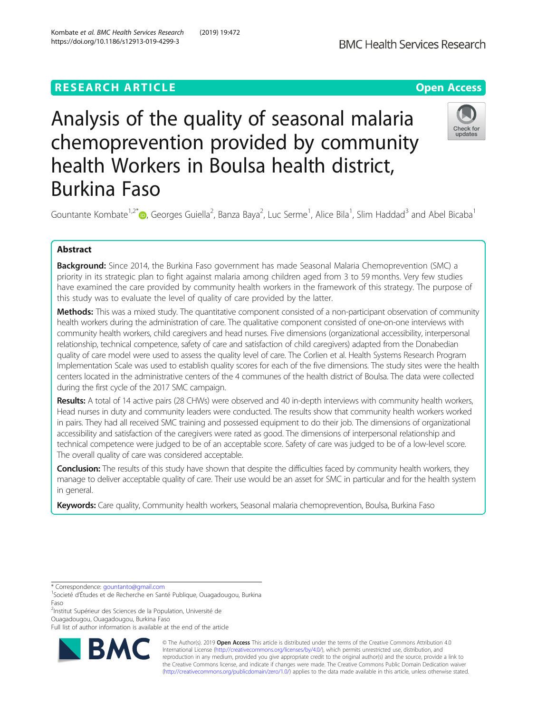## **RESEARCH ARTICLE Example 2018 12:30 THE Open Access**

# Analysis of the quality of seasonal malaria chemoprevention provided by community health Workers in Boulsa health district, Burkina Faso



Gountante Kombate<sup>1[,](http://orcid.org/0000-0003-0014-5528)2\*</sup> (**p**, Georges Guiella<sup>2</sup>, Banza Baya<sup>2</sup>, Luc Serme<sup>1</sup>, Alice Bila<sup>1</sup>, Slim Haddad<sup>3</sup> and Abel Bicaba<sup>1</sup>

### Abstract

Background: Since 2014, the Burkina Faso government has made Seasonal Malaria Chemoprevention (SMC) a priority in its strategic plan to fight against malaria among children aged from 3 to 59 months. Very few studies have examined the care provided by community health workers in the framework of this strategy. The purpose of this study was to evaluate the level of quality of care provided by the latter.

Methods: This was a mixed study. The quantitative component consisted of a non-participant observation of community health workers during the administration of care. The qualitative component consisted of one-on-one interviews with community health workers, child caregivers and head nurses. Five dimensions (organizational accessibility, interpersonal relationship, technical competence, safety of care and satisfaction of child caregivers) adapted from the Donabedian quality of care model were used to assess the quality level of care. The Corlien et al. Health Systems Research Program Implementation Scale was used to establish quality scores for each of the five dimensions. The study sites were the health centers located in the administrative centers of the 4 communes of the health district of Boulsa. The data were collected during the first cycle of the 2017 SMC campaign.

Results: A total of 14 active pairs (28 CHWs) were observed and 40 in-depth interviews with community health workers, Head nurses in duty and community leaders were conducted. The results show that community health workers worked in pairs. They had all received SMC training and possessed equipment to do their job. The dimensions of organizational accessibility and satisfaction of the caregivers were rated as good. The dimensions of interpersonal relationship and technical competence were judged to be of an acceptable score. Safety of care was judged to be of a low-level score. The overall quality of care was considered acceptable.

Conclusion: The results of this study have shown that despite the difficulties faced by community health workers, they manage to deliver acceptable quality of care. Their use would be an asset for SMC in particular and for the health system in general.

Keywords: Care quality, Community health workers, Seasonal malaria chemoprevention, Boulsa, Burkina Faso

\* Correspondence: [gountanto@gmail.com](mailto:gountanto@gmail.com) <sup>1</sup>

Societé d'Études et de Recherche en Santé Publique, Ouagadougou, Burkina Faso

<sup>2</sup>Institut Supérieur des Sciences de la Population, Université de Ouagadougou, Ouagadougou, Burkina Faso

Full list of author information is available at the end of the article



© The Author(s). 2019 **Open Access** This article is distributed under the terms of the Creative Commons Attribution 4.0 International License [\(http://creativecommons.org/licenses/by/4.0/](http://creativecommons.org/licenses/by/4.0/)), which permits unrestricted use, distribution, and reproduction in any medium, provided you give appropriate credit to the original author(s) and the source, provide a link to the Creative Commons license, and indicate if changes were made. The Creative Commons Public Domain Dedication waiver [\(http://creativecommons.org/publicdomain/zero/1.0/](http://creativecommons.org/publicdomain/zero/1.0/)) applies to the data made available in this article, unless otherwise stated.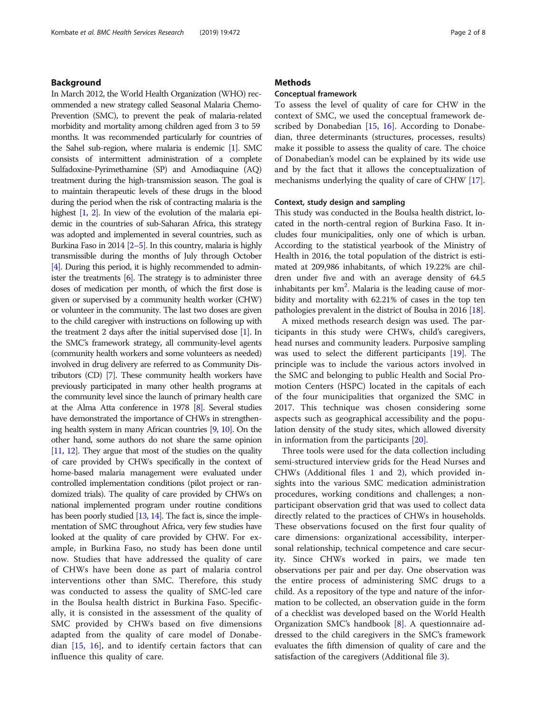#### Background

In March 2012, the World Health Organization (WHO) recommended a new strategy called Seasonal Malaria Chemo-Prevention (SMC), to prevent the peak of malaria-related morbidity and mortality among children aged from 3 to 59 months. It was recommended particularly for countries of the Sahel sub-region, where malaria is endemic [\[1](#page-7-0)]. SMC consists of intermittent administration of a complete Sulfadoxine-Pyrimethamine (SP) and Amodiaquine (AQ) treatment during the high-transmission season. The goal is to maintain therapeutic levels of these drugs in the blood during the period when the risk of contracting malaria is the highest [\[1,](#page-7-0) [2](#page-7-0)]. In view of the evolution of the malaria epidemic in the countries of sub-Saharan Africa, this strategy was adopted and implemented in several countries, such as Burkina Faso in 2014 [[2](#page-7-0)–[5\]](#page-7-0). In this country, malaria is highly transmissible during the months of July through October [[4](#page-7-0)]. During this period, it is highly recommended to administer the treatments  $[6]$ . The strategy is to administer three doses of medication per month, of which the first dose is given or supervised by a community health worker (CHW) or volunteer in the community. The last two doses are given to the child caregiver with instructions on following up with the treatment 2 days after the initial supervised dose [\[1\]](#page-7-0). In the SMC's framework strategy, all community-level agents (community health workers and some volunteers as needed) involved in drug delivery are referred to as Community Distributors (CD) [\[7](#page-7-0)]. These community health workers have previously participated in many other health programs at the community level since the launch of primary health care at the Alma Atta conference in 1978 [[8](#page-7-0)]. Several studies have demonstrated the importance of CHWs in strengthening health system in many African countries [[9](#page-7-0), [10\]](#page-7-0). On the other hand, some authors do not share the same opinion [[11,](#page-7-0) [12](#page-7-0)]. They argue that most of the studies on the quality of care provided by CHWs specifically in the context of home-based malaria management were evaluated under controlled implementation conditions (pilot project or randomized trials). The quality of care provided by CHWs on national implemented program under routine conditions has been poorly studied [\[13,](#page-7-0) [14\]](#page-7-0). The fact is, since the implementation of SMC throughout Africa, very few studies have looked at the quality of care provided by CHW. For example, in Burkina Faso, no study has been done until now. Studies that have addressed the quality of care of CHWs have been done as part of malaria control interventions other than SMC. Therefore, this study was conducted to assess the quality of SMC-led care in the Boulsa health district in Burkina Faso. Specifically, it is consisted in the assessment of the quality of SMC provided by CHWs based on five dimensions adapted from the quality of care model of Donabedian [[15,](#page-7-0) [16\]](#page-7-0), and to identify certain factors that can influence this quality of care.

#### **Methods**

#### Conceptual framework

To assess the level of quality of care for CHW in the context of SMC, we used the conceptual framework described by Donabedian [[15](#page-7-0), [16\]](#page-7-0). According to Donabedian, three determinants (structures, processes, results) make it possible to assess the quality of care. The choice of Donabedian's model can be explained by its wide use and by the fact that it allows the conceptualization of mechanisms underlying the quality of care of CHW [\[17\]](#page-7-0).

#### Context, study design and sampling

This study was conducted in the Boulsa health district, located in the north-central region of Burkina Faso. It includes four municipalities, only one of which is urban. According to the statistical yearbook of the Ministry of Health in 2016, the total population of the district is estimated at 209,986 inhabitants, of which 19.22% are children under five and with an average density of 64.5 inhabitants per km<sup>2</sup>. Malaria is the leading cause of morbidity and mortality with 62.21% of cases in the top ten pathologies prevalent in the district of Boulsa in 2016 [[18](#page-7-0)].

A mixed methods research design was used. The participants in this study were CHWs, child's caregivers, head nurses and community leaders. Purposive sampling was used to select the different participants [\[19](#page-7-0)]. The principle was to include the various actors involved in the SMC and belonging to public Health and Social Promotion Centers (HSPC) located in the capitals of each of the four municipalities that organized the SMC in 2017. This technique was chosen considering some aspects such as geographical accessibility and the population density of the study sites, which allowed diversity in information from the participants [[20\]](#page-7-0).

Three tools were used for the data collection including semi-structured interview grids for the Head Nurses and CHWs (Additional files [1](#page-6-0) and [2\)](#page-6-0), which provided insights into the various SMC medication administration procedures, working conditions and challenges; a nonparticipant observation grid that was used to collect data directly related to the practices of CHWs in households. These observations focused on the first four quality of care dimensions: organizational accessibility, interpersonal relationship, technical competence and care security. Since CHWs worked in pairs, we made ten observations per pair and per day. One observation was the entire process of administering SMC drugs to a child. As a repository of the type and nature of the information to be collected, an observation guide in the form of a checklist was developed based on the World Health Organization SMC's handbook [\[8](#page-7-0)]. A questionnaire addressed to the child caregivers in the SMC's framework evaluates the fifth dimension of quality of care and the satisfaction of the caregivers (Additional file [3](#page-6-0)).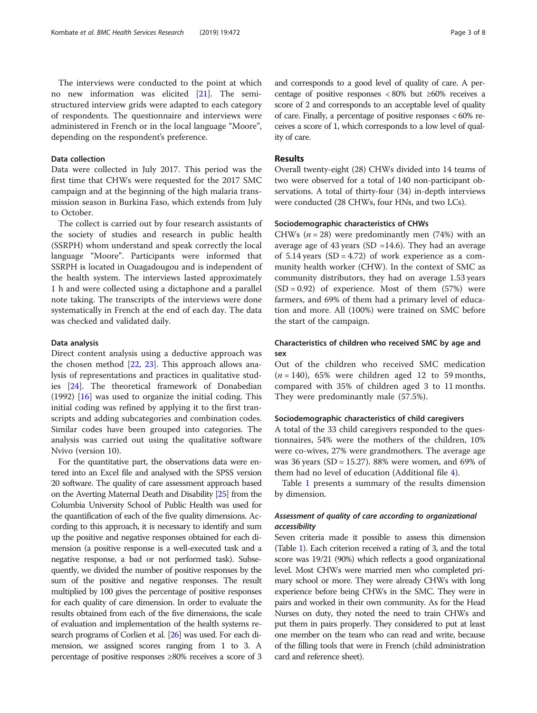The interviews were conducted to the point at which no new information was elicited [[21](#page-7-0)]. The semistructured interview grids were adapted to each category of respondents. The questionnaire and interviews were administered in French or in the local language "Moore", depending on the respondent's preference.

#### Data collection

Data were collected in July 2017. This period was the first time that CHWs were requested for the 2017 SMC campaign and at the beginning of the high malaria transmission season in Burkina Faso, which extends from July to October.

The collect is carried out by four research assistants of the society of studies and research in public health (SSRPH) whom understand and speak correctly the local language "Moore". Participants were informed that SSRPH is located in Ouagadougou and is independent of the health system. The interviews lasted approximately 1 h and were collected using a dictaphone and a parallel note taking. The transcripts of the interviews were done systematically in French at the end of each day. The data was checked and validated daily.

#### Data analysis

Direct content analysis using a deductive approach was the chosen method [[22](#page-7-0), [23](#page-7-0)]. This approach allows analysis of representations and practices in qualitative studies [[24\]](#page-7-0). The theoretical framework of Donabedian  $(1992)$  [\[16](#page-7-0)] was used to organize the initial coding. This initial coding was refined by applying it to the first transcripts and adding subcategories and combination codes. Similar codes have been grouped into categories. The analysis was carried out using the qualitative software Nvivo (version 10).

For the quantitative part, the observations data were entered into an Excel file and analysed with the SPSS version 20 software. The quality of care assessment approach based on the Averting Maternal Death and Disability [\[25](#page-7-0)] from the Columbia University School of Public Health was used for the quantification of each of the five quality dimensions. According to this approach, it is necessary to identify and sum up the positive and negative responses obtained for each dimension (a positive response is a well-executed task and a negative response, a bad or not performed task). Subsequently, we divided the number of positive responses by the sum of the positive and negative responses. The result multiplied by 100 gives the percentage of positive responses for each quality of care dimension. In order to evaluate the results obtained from each of the five dimensions, the scale of evaluation and implementation of the health systems research programs of Corlien et al. [\[26](#page-7-0)] was used. For each dimension, we assigned scores ranging from 1 to 3. A percentage of positive responses ≥80% receives a score of 3 and corresponds to a good level of quality of care. A percentage of positive responses <80% but  $\geq 60\%$  receives a score of 2 and corresponds to an acceptable level of quality of care. Finally, a percentage of positive responses < 60% receives a score of 1, which corresponds to a low level of quality of care.

#### Results

Overall twenty-eight (28) CHWs divided into 14 teams of two were observed for a total of 140 non-participant observations. A total of thirty-four (34) in-depth interviews were conducted (28 CHWs, four HNs, and two LCs).

#### Sociodemographic characteristics of CHWs

CHWs ( $n = 28$ ) were predominantly men (74%) with an average age of 43 years (SD =14.6). They had an average of  $5.14$  years  $(SD = 4.72)$  of work experience as a community health worker (CHW). In the context of SMC as community distributors, they had on average 1.53 years  $(SD = 0.92)$  of experience. Most of them  $(57%)$  were farmers, and 69% of them had a primary level of education and more. All (100%) were trained on SMC before the start of the campaign.

#### Characteristics of children who received SMC by age and sex

Out of the children who received SMC medication  $(n = 140)$ , 65% were children aged 12 to 59 months, compared with 35% of children aged 3 to 11 months. They were predominantly male (57.5%).

#### Sociodemographic characteristics of child caregivers

A total of the 33 child caregivers responded to the questionnaires, 54% were the mothers of the children, 10% were co-wives, 27% were grandmothers. The average age was 36 years (SD = 15.27). 88% were women, and 69% of them had no level of education (Additional file [4\)](#page-6-0).

Table [1](#page-3-0) presents a summary of the results dimension by dimension.

#### Assessment of quality of care according to organizational accessibility

Seven criteria made it possible to assess this dimension (Table [1](#page-3-0)). Each criterion received a rating of 3, and the total score was 19/21 (90%) which reflects a good organizational level. Most CHWs were married men who completed primary school or more. They were already CHWs with long experience before being CHWs in the SMC. They were in pairs and worked in their own community. As for the Head Nurses on duty, they noted the need to train CHWs and put them in pairs properly. They considered to put at least one member on the team who can read and write, because of the filling tools that were in French (child administration card and reference sheet).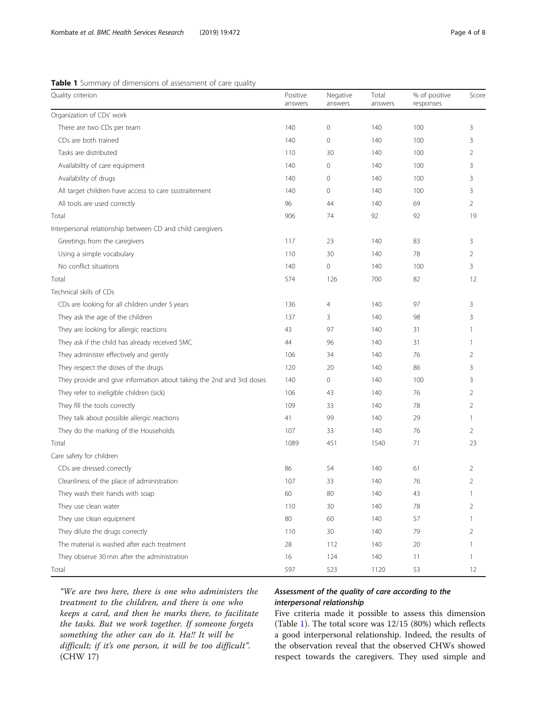#### <span id="page-3-0"></span>Table 1 Summary of dimensions of assessment of care quality

| Quality criterion                                                    | Positive<br>answers | Negative<br>answers | Total<br>answers | % of positive<br>responses | Score          |
|----------------------------------------------------------------------|---------------------|---------------------|------------------|----------------------------|----------------|
| Organization of CDs' work                                            |                     |                     |                  |                            |                |
| There are two CDs per team                                           | 140                 | 0                   | 140              | 100                        | 3              |
| CDs are both trained                                                 | 140                 | 0                   | 140              | 100                        | 3              |
| Tasks are distributed                                                | 110                 | 30                  | 140              | 100                        | 2              |
| Availability of care equipment                                       | 140                 | 0                   | 140              | 100                        | 3              |
| Availability of drugs                                                | 140                 | 0                   | 140              | 100                        | 3              |
| All target children have access to care sssstraitement               | 140                 | 0                   | 140              | 100                        | 3              |
| All tools are used correctly                                         | 96                  | 44                  | 140              | 69                         | $\overline{2}$ |
| Total                                                                | 906                 | 74                  | 92               | 92                         | 19             |
| Interpersonal relationship between CD and child caregivers           |                     |                     |                  |                            |                |
| Greetings from the caregivers                                        | 117                 | 23                  | 140              | 83                         | 3              |
| Using a simple vocabulary                                            | 110                 | 30                  | 140              | 78                         | $\overline{2}$ |
| No conflict situations                                               | 140                 | 0                   | 140              | 100                        | 3              |
| Total                                                                | 574                 | 126                 | 700              | 82                         | 12             |
| Technical skills of CDs                                              |                     |                     |                  |                            |                |
| CDs are looking for all children under 5 years                       | 136                 | 4                   | 140              | 97                         | 3              |
| They ask the age of the children                                     | 137                 | 3                   | 140              | 98                         | 3              |
| They are looking for allergic reactions                              | 43                  | 97                  | 140              | 31                         | 1              |
| They ask if the child has already received SMC                       | 44                  | 96                  | 140              | 31                         | 1              |
| They administer effectively and gently                               | 106                 | 34                  | 140              | 76                         | 2              |
| They respect the doses of the drugs                                  | 120                 | 20                  | 140              | 86                         | 3              |
| They provide and give information about taking the 2nd and 3rd doses | 140                 | 0                   | 140              | 100                        | 3              |
| They refer to ineligible children (sick)                             | 106                 | 43                  | 140              | 76                         | 2              |
| They fill the tools correctly                                        | 109                 | 33                  | 140              | 78                         | 2              |
| They talk about possible allergic reactions                          | 41                  | 99                  | 140              | 29                         | 1              |
| They do the marking of the Households                                | 107                 | 33                  | 140              | 76                         | 2              |
| Total                                                                | 1089                | 451                 | 1540             | 71                         | 23             |
| Care safety for children                                             |                     |                     |                  |                            |                |
| CDs are dressed correctly                                            | 86                  | 54                  | 140              | 61                         | 2              |
| Cleanliness of the place of administration                           | 107                 | 33                  | 140              | 76                         | $\overline{2}$ |
| They wash their hands with soap                                      | 60                  | 80                  | 140              | 43                         |                |
| They use clean water                                                 | 110                 | 30                  | 140              | 78                         | $\overline{2}$ |
| They use clean equipment                                             | 80                  | 60                  | 140              | 57                         | 1              |
| They dilute the drugs correctly                                      | 110                 | 30                  | 140              | 79                         | 2              |
| The material is washed after each treatment                          | 28                  | 112                 | 140              | 20                         | 1              |
| They observe 30 min after the administration                         | 16                  | 124                 | 140              | 11                         | 1              |
| Total                                                                | 597                 | 523                 | 1120             | 53                         | 12             |

"We are two here, there is one who administers the treatment to the children, and there is one who keeps a card, and then he marks there, to facilitate the tasks. But we work together. If someone forgets something the other can do it. Ha!! It will be difficult; if it's one person, it will be too difficult". (CHW 17)

#### Assessment of the quality of care according to the interpersonal relationship

Five criteria made it possible to assess this dimension (Table 1). The total score was 12/15 (80%) which reflects a good interpersonal relationship. Indeed, the results of the observation reveal that the observed CHWs showed respect towards the caregivers. They used simple and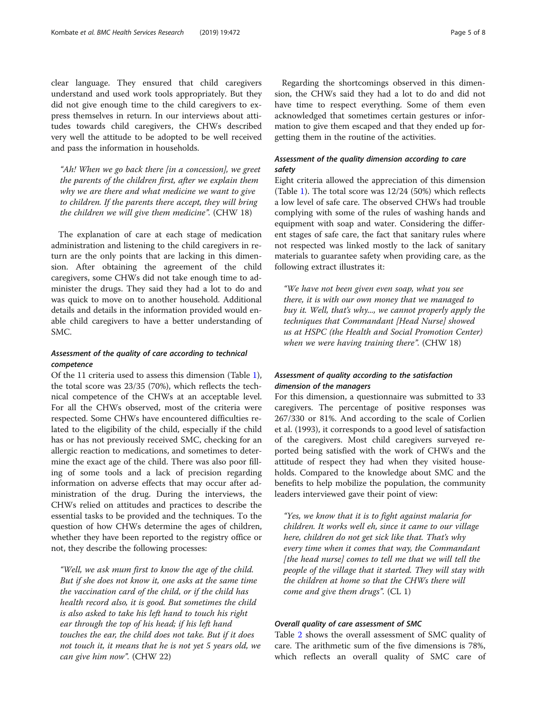clear language. They ensured that child caregivers understand and used work tools appropriately. But they did not give enough time to the child caregivers to express themselves in return. In our interviews about attitudes towards child caregivers, the CHWs described very well the attitude to be adopted to be well received and pass the information in households.

"Ah! When we go back there [in a concession], we greet the parents of the children first, after we explain them why we are there and what medicine we want to give to children. If the parents there accept, they will bring the children we will give them medicine". (CHW 18)

The explanation of care at each stage of medication administration and listening to the child caregivers in return are the only points that are lacking in this dimension. After obtaining the agreement of the child caregivers, some CHWs did not take enough time to administer the drugs. They said they had a lot to do and was quick to move on to another household. Additional details and details in the information provided would enable child caregivers to have a better understanding of SMC.

#### Assessment of the quality of care according to technical competence

Of the 11 criteria used to assess this dimension (Table [1](#page-3-0)), the total score was 23/35 (70%), which reflects the technical competence of the CHWs at an acceptable level. For all the CHWs observed, most of the criteria were respected. Some CHWs have encountered difficulties related to the eligibility of the child, especially if the child has or has not previously received SMC, checking for an allergic reaction to medications, and sometimes to determine the exact age of the child. There was also poor filling of some tools and a lack of precision regarding information on adverse effects that may occur after administration of the drug. During the interviews, the CHWs relied on attitudes and practices to describe the essential tasks to be provided and the techniques. To the question of how CHWs determine the ages of children, whether they have been reported to the registry office or not, they describe the following processes:

"Well, we ask mum first to know the age of the child. But if she does not know it, one asks at the same time the vaccination card of the child, or if the child has health record also, it is good. But sometimes the child is also asked to take his left hand to touch his right ear through the top of his head; if his left hand touches the ear, the child does not take. But if it does not touch it, it means that he is not yet 5 years old, we can give him now". (CHW 22)

Regarding the shortcomings observed in this dimension, the CHWs said they had a lot to do and did not have time to respect everything. Some of them even acknowledged that sometimes certain gestures or information to give them escaped and that they ended up forgetting them in the routine of the activities.

#### Assessment of the quality dimension according to care safety

Eight criteria allowed the appreciation of this dimension (Table [1](#page-3-0)). The total score was 12/24 (50%) which reflects a low level of safe care. The observed CHWs had trouble complying with some of the rules of washing hands and equipment with soap and water. Considering the different stages of safe care, the fact that sanitary rules where not respected was linked mostly to the lack of sanitary materials to guarantee safety when providing care, as the following extract illustrates it:

"We have not been given even soap, what you see there, it is with our own money that we managed to buy it. Well, that's why..., we cannot properly apply the techniques that Commandant [Head Nurse] showed us at HSPC (the Health and Social Promotion Center) when we were having training there". (CHW 18)

#### Assessment of quality according to the satisfaction dimension of the managers

For this dimension, a questionnaire was submitted to 33 caregivers. The percentage of positive responses was 267/330 or 81%. And according to the scale of Corlien et al. (1993), it corresponds to a good level of satisfaction of the caregivers. Most child caregivers surveyed reported being satisfied with the work of CHWs and the attitude of respect they had when they visited households. Compared to the knowledge about SMC and the benefits to help mobilize the population, the community leaders interviewed gave their point of view:

"Yes, we know that it is to fight against malaria for children. It works well eh, since it came to our village here, children do not get sick like that. That's why every time when it comes that way, the Commandant [the head nurse] comes to tell me that we will tell the people of the village that it started. They will stay with the children at home so that the CHWs there will come and give them drugs". (CL 1)

#### Overall quality of care assessment of SMC

Table [2](#page-5-0) shows the overall assessment of SMC quality of care. The arithmetic sum of the five dimensions is 78%, which reflects an overall quality of SMC care of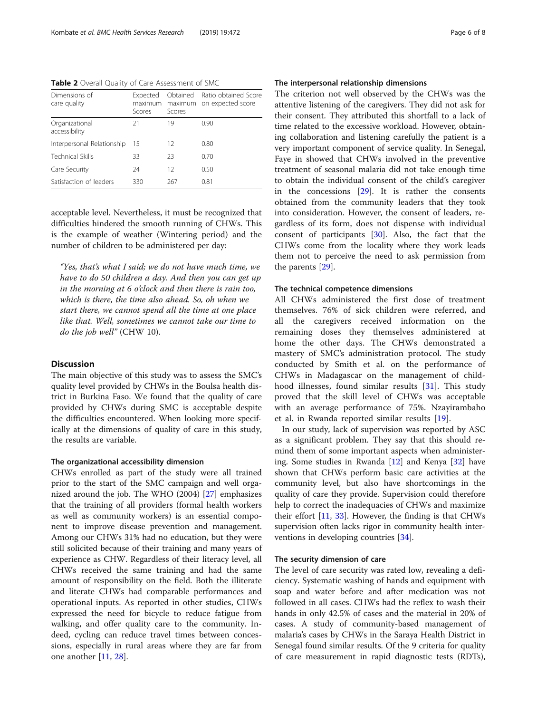<span id="page-5-0"></span>Table 2 Overall Quality of Care Assessment of SMC

| Dimensions of<br>care quality   | Expected<br>maximum<br>Scores | Obtained<br>maximum<br>Scores | Ratio obtained Score<br>on expected score |
|---------------------------------|-------------------------------|-------------------------------|-------------------------------------------|
| Organizational<br>accessibility | 21                            | 19                            | 0.90                                      |
| Interpersonal Relationship      | 15                            | 12                            | 0.80                                      |
| Technical Skills                | 33                            | 23                            | 0.70                                      |
| Care Security                   | 24                            | 12                            | 0.50                                      |
| Satisfaction of leaders         | 330                           | 267                           | 0.81                                      |

acceptable level. Nevertheless, it must be recognized that difficulties hindered the smooth running of CHWs. This is the example of weather (Wintering period) and the number of children to be administered per day:

"Yes, that's what I said; we do not have much time, we have to do 50 children a day. And then you can get up in the morning at 6 o'clock and then there is rain too, which is there, the time also ahead. So, oh when we start there, we cannot spend all the time at one place like that. Well, sometimes we cannot take our time to do the job well" (CHW 10).

#### **Discussion**

The main objective of this study was to assess the SMC's quality level provided by CHWs in the Boulsa health district in Burkina Faso. We found that the quality of care provided by CHWs during SMC is acceptable despite the difficulties encountered. When looking more specifically at the dimensions of quality of care in this study, the results are variable.

#### The organizational accessibility dimension

CHWs enrolled as part of the study were all trained prior to the start of the SMC campaign and well organized around the job. The WHO (2004) [[27\]](#page-7-0) emphasizes that the training of all providers (formal health workers as well as community workers) is an essential component to improve disease prevention and management. Among our CHWs 31% had no education, but they were still solicited because of their training and many years of experience as CHW. Regardless of their literacy level, all CHWs received the same training and had the same amount of responsibility on the field. Both the illiterate and literate CHWs had comparable performances and operational inputs. As reported in other studies, CHWs expressed the need for bicycle to reduce fatigue from walking, and offer quality care to the community. Indeed, cycling can reduce travel times between concessions, especially in rural areas where they are far from one another [\[11](#page-7-0), [28\]](#page-7-0).

#### The interpersonal relationship dimensions

The criterion not well observed by the CHWs was the attentive listening of the caregivers. They did not ask for their consent. They attributed this shortfall to a lack of time related to the excessive workload. However, obtaining collaboration and listening carefully the patient is a very important component of service quality. In Senegal, Faye in showed that CHWs involved in the preventive treatment of seasonal malaria did not take enough time to obtain the individual consent of the child's caregiver in the concessions [[29](#page-7-0)]. It is rather the consents obtained from the community leaders that they took into consideration. However, the consent of leaders, regardless of its form, does not dispense with individual consent of participants [[30](#page-7-0)]. Also, the fact that the CHWs come from the locality where they work leads them not to perceive the need to ask permission from the parents [[29\]](#page-7-0).

#### The technical competence dimensions

All CHWs administered the first dose of treatment themselves. 76% of sick children were referred, and all the caregivers received information on the remaining doses they themselves administered at home the other days. The CHWs demonstrated a mastery of SMC's administration protocol. The study conducted by Smith et al. on the performance of CHWs in Madagascar on the management of childhood illnesses, found similar results [[31\]](#page-7-0). This study proved that the skill level of CHWs was acceptable with an average performance of 75%. Nzayirambaho et al. in Rwanda reported similar results [[19\]](#page-7-0).

In our study, lack of supervision was reported by ASC as a significant problem. They say that this should remind them of some important aspects when administering. Some studies in Rwanda [\[12](#page-7-0)] and Kenya [[32\]](#page-7-0) have shown that CHWs perform basic care activities at the community level, but also have shortcomings in the quality of care they provide. Supervision could therefore help to correct the inadequacies of CHWs and maximize their effort  $[11, 33]$  $[11, 33]$  $[11, 33]$ . However, the finding is that CHWs supervision often lacks rigor in community health interventions in developing countries [\[34\]](#page-7-0).

#### The security dimension of care

The level of care security was rated low, revealing a deficiency. Systematic washing of hands and equipment with soap and water before and after medication was not followed in all cases. CHWs had the reflex to wash their hands in only 42.5% of cases and the material in 20% of cases. A study of community-based management of malaria's cases by CHWs in the Saraya Health District in Senegal found similar results. Of the 9 criteria for quality of care measurement in rapid diagnostic tests (RDTs),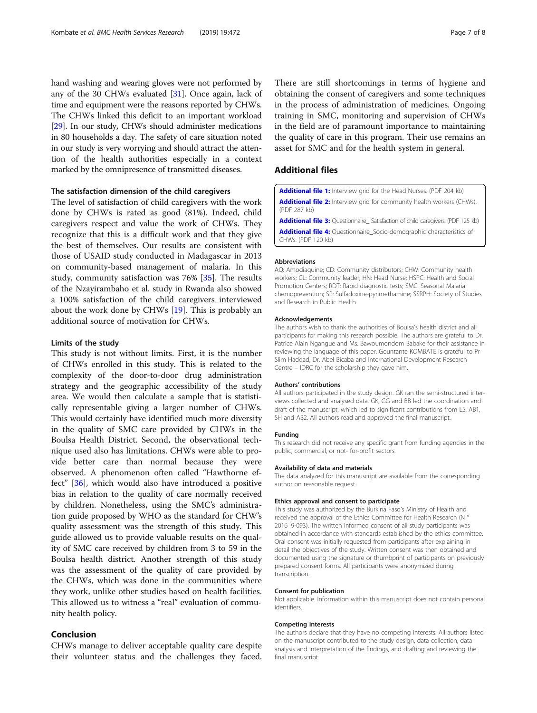<span id="page-6-0"></span>hand washing and wearing gloves were not performed by any of the 30 CHWs evaluated [\[31\]](#page-7-0). Once again, lack of time and equipment were the reasons reported by CHWs. The CHWs linked this deficit to an important workload [[29](#page-7-0)]. In our study, CHWs should administer medications in 80 households a day. The safety of care situation noted in our study is very worrying and should attract the attention of the health authorities especially in a context marked by the omnipresence of transmitted diseases.

#### The satisfaction dimension of the child caregivers

The level of satisfaction of child caregivers with the work done by CHWs is rated as good (81%). Indeed, child caregivers respect and value the work of CHWs. They recognize that this is a difficult work and that they give the best of themselves. Our results are consistent with those of USAID study conducted in Madagascar in 2013 on community-based management of malaria. In this study, community satisfaction was 76% [\[35](#page-7-0)]. The results of the Nzayirambaho et al. study in Rwanda also showed a 100% satisfaction of the child caregivers interviewed about the work done by CHWs [[19\]](#page-7-0). This is probably an additional source of motivation for CHWs.

#### Limits of the study

This study is not without limits. First, it is the number of CHWs enrolled in this study. This is related to the complexity of the door-to-door drug administration strategy and the geographic accessibility of the study area. We would then calculate a sample that is statistically representable giving a larger number of CHWs. This would certainly have identified much more diversity in the quality of SMC care provided by CHWs in the Boulsa Health District. Second, the observational technique used also has limitations. CHWs were able to provide better care than normal because they were observed. A phenomenon often called "Hawthorne effect" [\[36](#page-7-0)], which would also have introduced a positive bias in relation to the quality of care normally received by children. Nonetheless, using the SMC's administration guide proposed by WHO as the standard for CHW's quality assessment was the strength of this study. This guide allowed us to provide valuable results on the quality of SMC care received by children from 3 to 59 in the Boulsa health district. Another strength of this study was the assessment of the quality of care provided by the CHWs, which was done in the communities where they work, unlike other studies based on health facilities. This allowed us to witness a "real" evaluation of community health policy.

#### Conclusion

CHWs manage to deliver acceptable quality care despite their volunteer status and the challenges they faced. There are still shortcomings in terms of hygiene and obtaining the consent of caregivers and some techniques in the process of administration of medicines. Ongoing training in SMC, monitoring and supervision of CHWs in the field are of paramount importance to maintaining the quality of care in this program. Their use remains an asset for SMC and for the health system in general.

#### Additional files

[Additional file 1:](https://doi.org/10.1186/s12913-019-4299-3) Interview grid for the Head Nurses. (PDF 204 kb) [Additional file 2:](https://doi.org/10.1186/s12913-019-4299-3) Interview grid for community health workers (CHWs). (PDF 287 kb)

[Additional file 3:](https://doi.org/10.1186/s12913-019-4299-3) Questionnaire\_ Satisfaction of child caregivers. (PDF 125 kb) [Additional file 4:](https://doi.org/10.1186/s12913-019-4299-3) Questionnaire\_Socio-demographic characteristics of CHWs. (PDF 120 kb)

#### Abbreviations

AQ: Amodiaquine; CD: Community distributors; CHW: Community health workers; CL: Community leader; HN: Head Nurse; HSPC: Health and Social Promotion Centers; RDT: Rapid diagnostic tests; SMC: Seasonal Malaria chemoprevention; SP: Sulfadoxine-pyrimethamine; SSRPH: Society of Studies and Research in Public Health

#### Acknowledgements

The authors wish to thank the authorities of Boulsa's health district and all participants for making this research possible. The authors are grateful to Dr. Patrice Alain Ngangue and Ms. Bawoumondom Babake for their assistance in reviewing the language of this paper. Gountante KOMBATE is grateful to Pr Slim Haddad, Dr. Abel Bicaba and International Development Research Centre – IDRC for the scholarship they gave him.

#### Authors' contributions

All authors participated in the study design. GK ran the semi-structured interviews collected and analysed data. GK, GG and BB led the coordination and draft of the manuscript, which led to significant contributions from LS, AB1, SH and AB2. All authors read and approved the final manuscript.

#### Funding

This research did not receive any specific grant from funding agencies in the public, commercial, or not- for-profit sectors.

#### Availability of data and materials

The data analyzed for this manuscript are available from the corresponding author on reasonable request.

#### Ethics approval and consent to participate

This study was authorized by the Burkina Faso's Ministry of Health and received the approval of the Ethics Committee for Health Research (N ° 2016–9-093). The written informed consent of all study participants was obtained in accordance with standards established by the ethics committee. Oral consent was initially requested from participants after explaining in detail the objectives of the study. Written consent was then obtained and documented using the signature or thumbprint of participants on previously prepared consent forms. All participants were anonymized during transcription.

#### Consent for publication

Not applicable. Information within this manuscript does not contain personal identifiers.

#### Competing interests

The authors declare that they have no competing interests. All authors listed on the manuscript contributed to the study design, data collection, data analysis and interpretation of the findings, and drafting and reviewing the final manuscript.